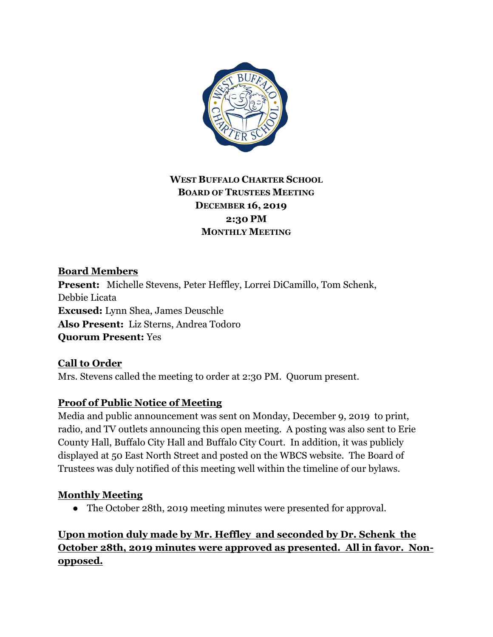

# **WEST BUFFALO CHARTER SCHOOL BOARD OF TRUSTEES MEETING DECEMBER 16, 2019 2:30 PM MONTHLY MEETING**

**Board Members Present:** Michelle Stevens, Peter Heffley, Lorrei DiCamillo, Tom Schenk, Debbie Licata **Excused:** Lynn Shea, James Deuschle **Also Present:** Liz Sterns, Andrea Todoro **Quorum Present:** Yes

**Call to Order** Mrs. Stevens called the meeting to order at 2:30 PM. Quorum present.

### **Proof of Public Notice of Meeting**

Media and public announcement was sent on Monday, December 9, 2019 to print, radio, and TV outlets announcing this open meeting. A posting was also sent to Erie County Hall, Buffalo City Hall and Buffalo City Court. In addition, it was publicly displayed at 50 East North Street and posted on the WBCS website. The Board of Trustees was duly notified of this meeting well within the timeline of our bylaws.

### **Monthly Meeting**

• The October 28th, 2019 meeting minutes were presented for approval.

**Upon motion duly made by Mr. Heffley and seconded by Dr. Schenk the October 28th, 2019 minutes were approved as presented. All in favor. Nonopposed.**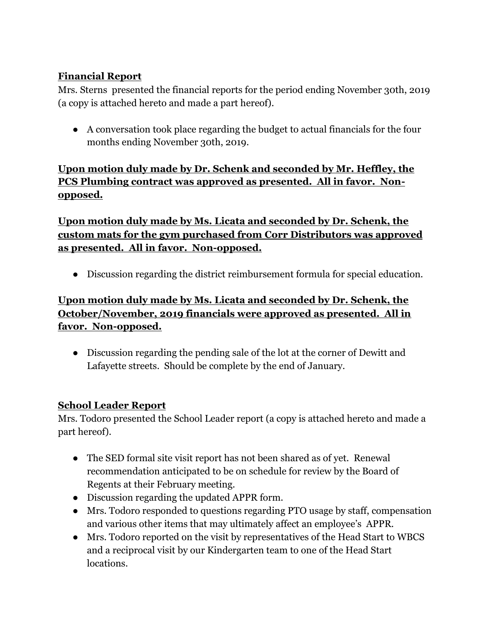## **Financial Report**

Mrs. Sterns presented the financial reports for the period ending November 30th, 2019 (a copy is attached hereto and made a part hereof).

● A conversation took place regarding the budget to actual financials for the four months ending November 30th, 2019.

**Upon motion duly made by Dr. Schenk and seconded by Mr. Heffley, the PCS Plumbing contract was approved as presented. All in favor. Nonopposed.**

**Upon motion duly made by Ms. Licata and seconded by Dr. Schenk, the custom mats for the gym purchased from Corr Distributors was approved as presented. All in favor. Non-opposed.**

● Discussion regarding the district reimbursement formula for special education.

# **Upon motion duly made by Ms. Licata and seconded by Dr. Schenk, the October/November, 2019 financials were approved as presented. All in favor. Non-opposed.**

● Discussion regarding the pending sale of the lot at the corner of Dewitt and Lafayette streets. Should be complete by the end of January.

### **School Leader Report**

Mrs. Todoro presented the School Leader report (a copy is attached hereto and made a part hereof).

- The SED formal site visit report has not been shared as of yet. Renewal recommendation anticipated to be on schedule for review by the Board of Regents at their February meeting.
- Discussion regarding the updated APPR form.
- Mrs. Todoro responded to questions regarding PTO usage by staff, compensation and various other items that may ultimately affect an employee's APPR.
- Mrs. Todoro reported on the visit by representatives of the Head Start to WBCS and a reciprocal visit by our Kindergarten team to one of the Head Start locations.